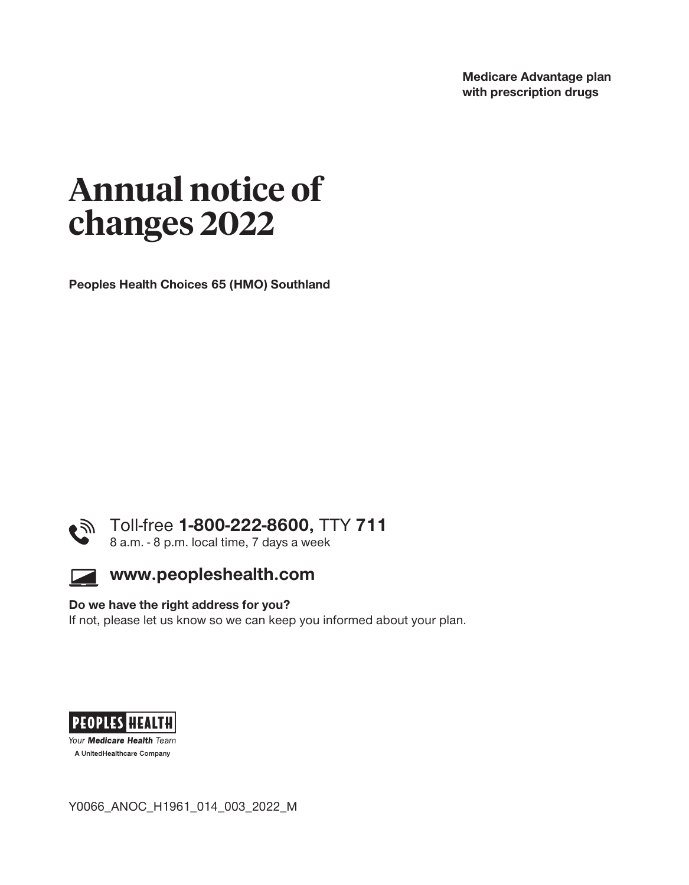**Medicare Advantage plan with prescription drugs** 

# **Annual notice of changes 2022**

**Peoples Health Choices 65 (HMO) Southland** 





#### **Do we have the right address for you?**

**If not, please let us know so we can keep you informed about your plan.** 



Your Medicare Health Team A UnitedHealthcare Company

**Y0066\_ANOC\_H1961\_014\_003\_2022\_M**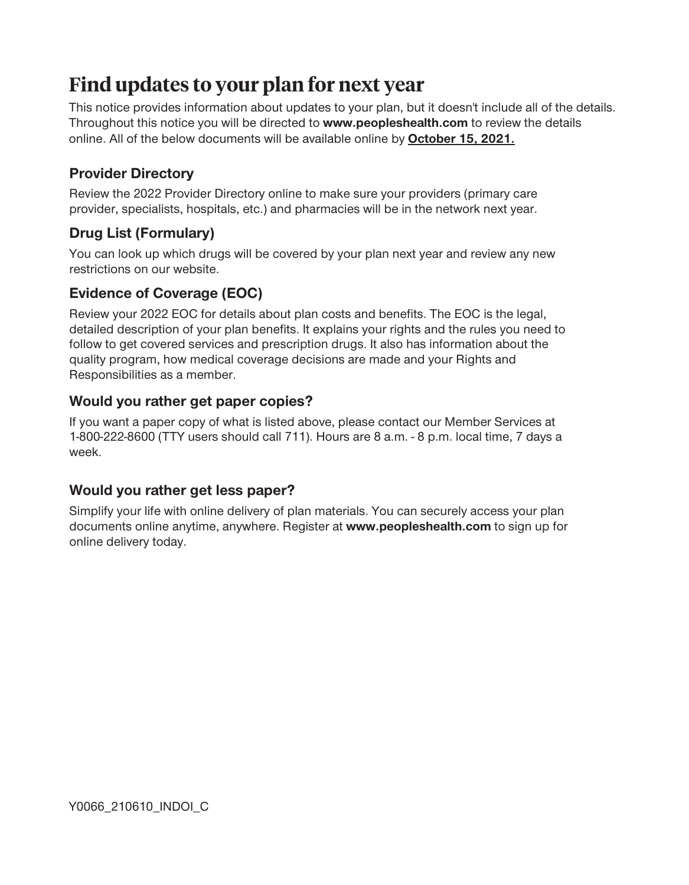# **Find updates to your plan for next year**

**This notice provides information about updates to your plan, but it doesn't include all of the details. Throughout this notice you will be directed to www.peopleshealth.com to review the details online. All of the below documents will be available online by October 15, 2021.** 

# **Provider Directory**

**Review the 2022 Provider Directory online to make sure your providers (primary care provider, specialists, hospitals, etc.) and pharmacies will be in the network next year.** 

# **Drug List (Formulary)**

**You can look up which drugs will be covered by your plan next year and review any new restrictions on our website.** 

# **Evidence of Coverage (EOC)**

**Review your 2022 EOC for details about plan costs and benefits. The EOC is the legal, detailed description of your plan benefits. It explains your rights and the rules you need to follow to get covered services and prescription drugs. It also has information about the quality program, how medical coverage decisions are made and your Rights and Responsibilities as a member.**

### **Would you rather get paper copies?**

**If you want a paper copy of what is listed above, please contact our Member Services at 1-800-222-8600 (TTY users should call 711). Hours are 8 a.m. - 8 p.m. local time, 7 days a week.**

# **Would you rather get less paper?**

**Simplify your life with online delivery of plan materials. You can securely access your plan documents online anytime, anywhere. Register at www.peopleshealth.com to sign up for online delivery today.**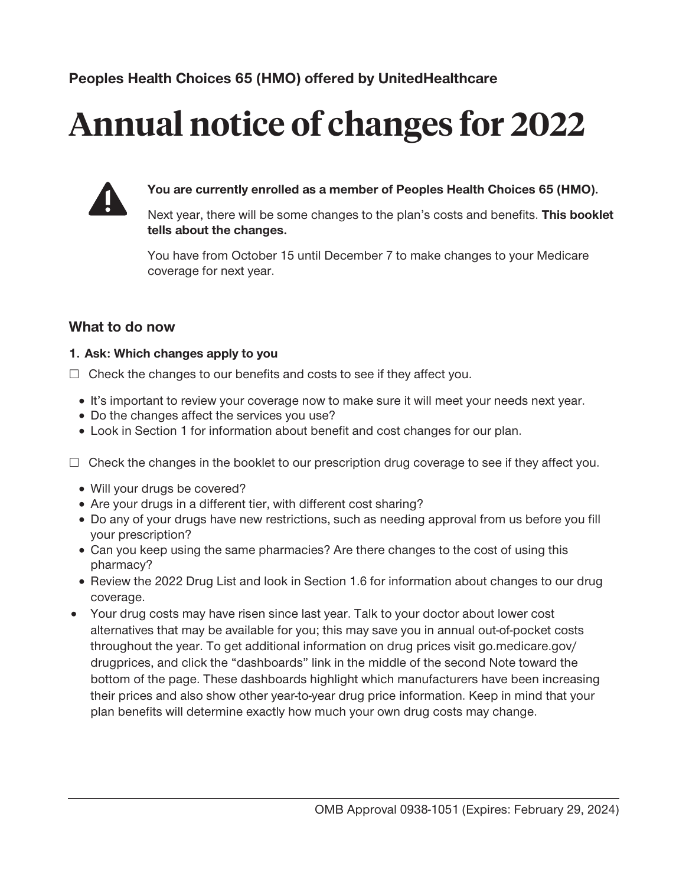# **Annual notice of changes for 2022**



**You are currently enrolled as a member of Peoples Health Choices 65 (HMO).** 

**Next year, there will be some changes to the plan's costs and benefits. This booklet tells about the changes.** 

**You have from October 15 until December 7 to make changes to your Medicare coverage for next year.** 

# **What to do now**

#### **1. Ask: Which changes apply to you**

- **£ Check the changes to our benefits and costs to see if they affect you.** 
	- □ **It's important to review your coverage now to make sure it will meet your needs next year.**
	- □ Do the changes affect the services you use?
	- □ Look in Section 1 for information about benefit and cost changes for our plan.
- **£ Check the changes in the booklet to our prescription drug coverage to see if they affect you.** 
	- □ Will your drugs be covered?
	- □ Are your drugs in a different tier, with different cost sharing?
	- □ Do any of your drugs have new restrictions, such as needing approval from us before you fill **your prescription?**
	- **· Can you keep using the same pharmacies? Are there changes to the cost of using this pharmacy?**
	- **· Review the 2022 Drug List and look in Section 1.6 for information about changes to our drug coverage.**
- **1** Your drug costs may have risen since last year. Talk to your doctor about lower cost **alternatives that may be available for you; this may save you in annual out-of-pocket costs throughout the year. To get additional information on drug prices visit [go.medicare.gov/](http:go.medicare.gov) drugprices, and click the "dashboards" link in the middle of the second Note toward the bottom of the page. These dashboards highlight which manufacturers have been increasing their prices and also show other year-to-year drug price information. Keep in mind that your plan benefits will determine exactly how much your own drug costs may change.**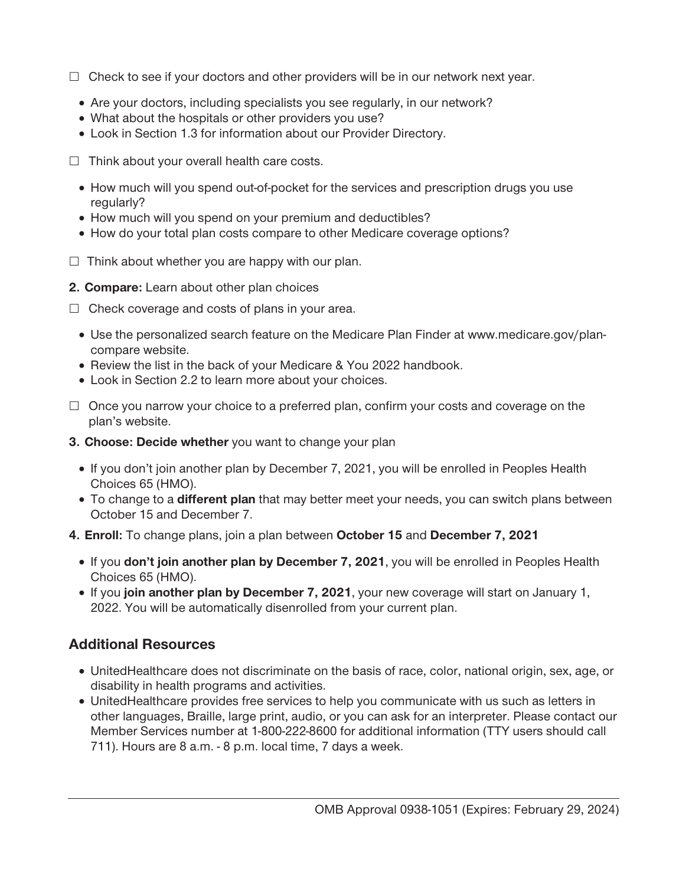- **£ Check to see if your doctors and other providers will be in our network next year.** 
	- □ Are your doctors, including specialists you see regularly, in our network?
	- **· What about the hospitals or other providers you use?**
	- □ Look in Section 1.3 for information about our Provider Directory.
- **£ Think about your overall health care costs.** 
	- □ How much will you spend out-of-pocket for the services and prescription drugs you use **regularly?**
	- □ How much will you spend on your premium and deductibles?
	- □ How do your total plan costs compare to other Medicare coverage options?
- **£ Think about whether you are happy with our plan.**
- **2. Compare: Learn about other plan choices**
- **£ Check coverage and costs of plans in your area.** 
	- □ Use the personalized search feature on the Medicare Plan Finder at <www.medicare.gov/plan>**compare website.**
	- □ Review the list in the back of your Medicare & You 2022 handbook.
	- □ Look in Section 2.2 to learn more about your choices.
- **£ Once you narrow your choice to a preferred plan, confirm your costs and coverage on the plan's website.**
- **3. Choose: Decide whether you want to change your plan** 
	- **· If you don't join another plan by December 7, 2021, you will be enrolled in Peoples Health Choices 65 (HMO).**
	- **· To change to a different plan that may better meet your needs, you can switch plans between October 15 and December 7.**
- **4. Enroll: To change plans, join a plan between October 15 and December 7, 2021** 
	- □ If you **don't join another plan by December 7, 2021**, you will be enrolled in Peoples Health **Choices 65 (HMO).**
	- **· If you join another plan by December 7, 2021, your new coverage will start on January 1, 2022. You will be automatically disenrolled from your current plan.**

# **Additional Resources**

- □ UnitedHealthcare does not discriminate on the basis of race, color, national origin, sex, age, or **disability in health programs and activities.**
- □ UnitedHealthcare provides free services to help you communicate with us such as letters in **other languages, Braille, large print, audio, or you can ask for an interpreter. Please contact our Member Services number at 1-800-222-8600 for additional information (TTY users should call 711). Hours are 8 a.m. - 8 p.m. local time, 7 days a week.**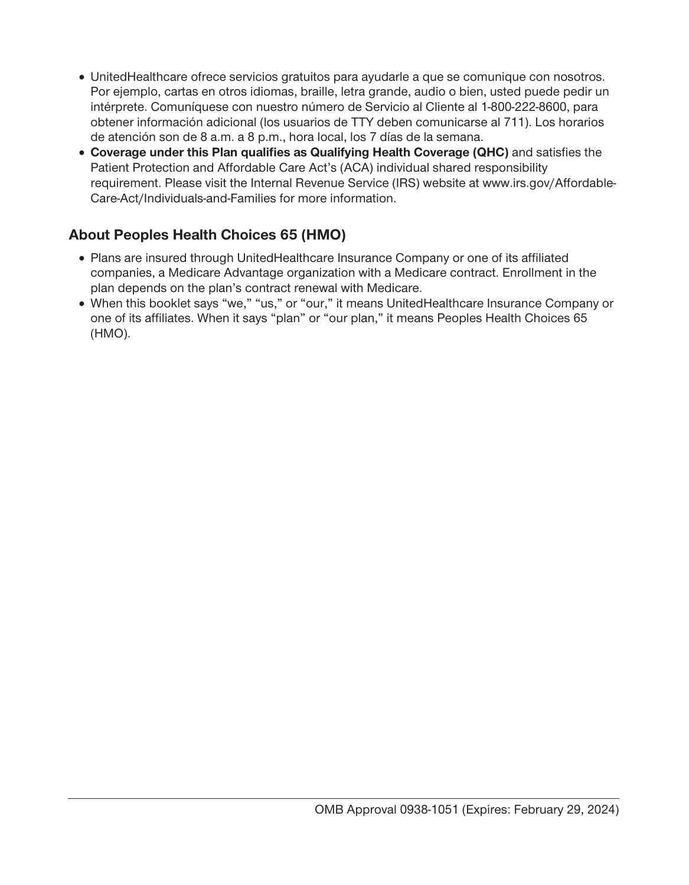- □ UnitedHealthcare ofrece servicios gratuitos para ayudarle a que se comunique con nosotros. **Por ejemplo, cartas en otros idiomas, braille, letra grande, audio o bien, usted puede pedir un intérprete. Comuníquese con nuestro número de Servicio al Cliente al 1-800-222-8600, para obtener información adicional (los usuarios de TTY deben comunicarse al 711). Los horarios de atención son de 8 a.m. a 8 p.m., hora local, los 7 días de la semana.**
- □ **Coverage under this Plan qualifies as Qualifying Health Coverage (QHC)** and satisfies the **Patient Protection and Affordable Care Act's (ACA) individual shared responsibility requirement. Please visit the Internal Revenue Service (IRS) website at [www.irs.gov/Affordable-](www.irs.gov/Affordable)Care-Act/Individuals-and-Families for more information.**

# **About Peoples Health Choices 65 (HMO)**

- □ Plans are insured through UnitedHealthcare Insurance Company or one of its affiliated **companies, a Medicare Advantage organization with a Medicare contract. Enrollment in the plan depends on the plan's contract renewal with Medicare.**
- □ When this booklet says "we," "us," or "our," it means UnitedHealthcare Insurance Company or **one of its affiliates. When it says "plan" or "our plan," it means Peoples Health Choices 65 (HMO).**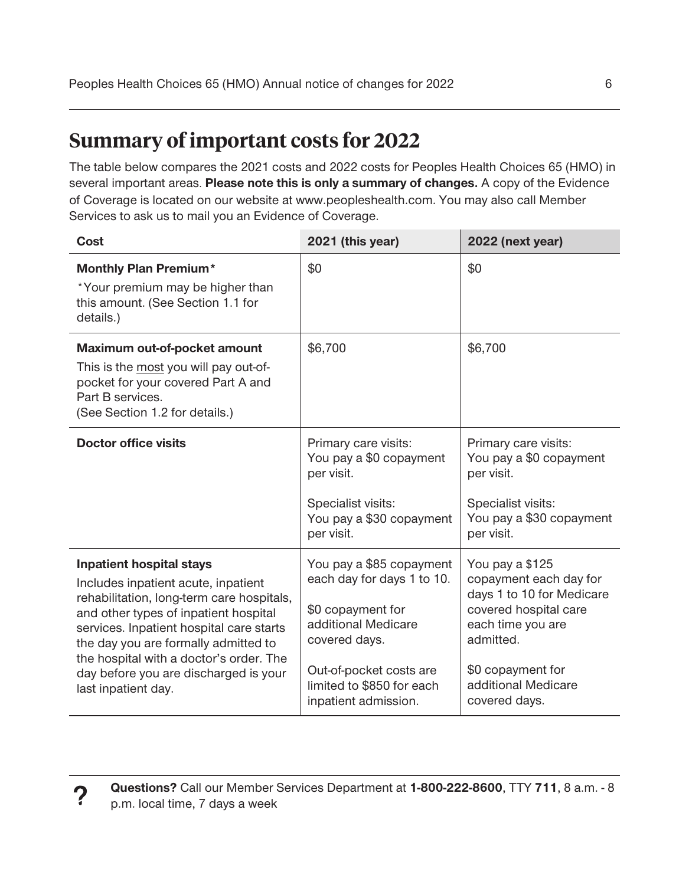# **Summary of important costs for 2022**

**The table below compares the 2021 costs and 2022 costs for Peoples Health Choices 65 (HMO) in several important areas. Please note this is only a summary of changes. A copy of the Evidence of Coverage is located on our website at [www.peopleshealth.com.](http:www.peopleshealth.com) You may also call Member Services to ask us to mail you an Evidence of Coverage.** 

| <b>Cost</b>                                                                                                                                                                                                                                                                                                                                                 | 2021 (this year)                                                                                                                                                                                    | 2022 (next year)                                                                                                                                                                               |
|-------------------------------------------------------------------------------------------------------------------------------------------------------------------------------------------------------------------------------------------------------------------------------------------------------------------------------------------------------------|-----------------------------------------------------------------------------------------------------------------------------------------------------------------------------------------------------|------------------------------------------------------------------------------------------------------------------------------------------------------------------------------------------------|
| <b>Monthly Plan Premium*</b><br>*Your premium may be higher than<br>this amount. (See Section 1.1 for<br>details.)                                                                                                                                                                                                                                          | \$0                                                                                                                                                                                                 | \$0                                                                                                                                                                                            |
| Maximum out-of-pocket amount<br>This is the most you will pay out-of-<br>pocket for your covered Part A and<br>Part B services.<br>(See Section 1.2 for details.)                                                                                                                                                                                           | \$6,700                                                                                                                                                                                             | \$6,700                                                                                                                                                                                        |
| <b>Doctor office visits</b>                                                                                                                                                                                                                                                                                                                                 | Primary care visits:<br>You pay a \$0 copayment<br>per visit.<br>Specialist visits:<br>You pay a \$30 copayment<br>per visit.                                                                       | Primary care visits:<br>You pay a \$0 copayment<br>per visit.<br>Specialist visits:<br>You pay a \$30 copayment<br>per visit.                                                                  |
| <b>Inpatient hospital stays</b><br>Includes inpatient acute, inpatient<br>rehabilitation, long-term care hospitals,<br>and other types of inpatient hospital<br>services. Inpatient hospital care starts<br>the day you are formally admitted to<br>the hospital with a doctor's order. The<br>day before you are discharged is your<br>last inpatient day. | You pay a \$85 copayment<br>each day for days 1 to 10.<br>\$0 copayment for<br>additional Medicare<br>covered days.<br>Out-of-pocket costs are<br>limited to \$850 for each<br>inpatient admission. | You pay a \$125<br>copayment each day for<br>days 1 to 10 for Medicare<br>covered hospital care<br>each time you are<br>admitted.<br>\$0 copayment for<br>additional Medicare<br>covered days. |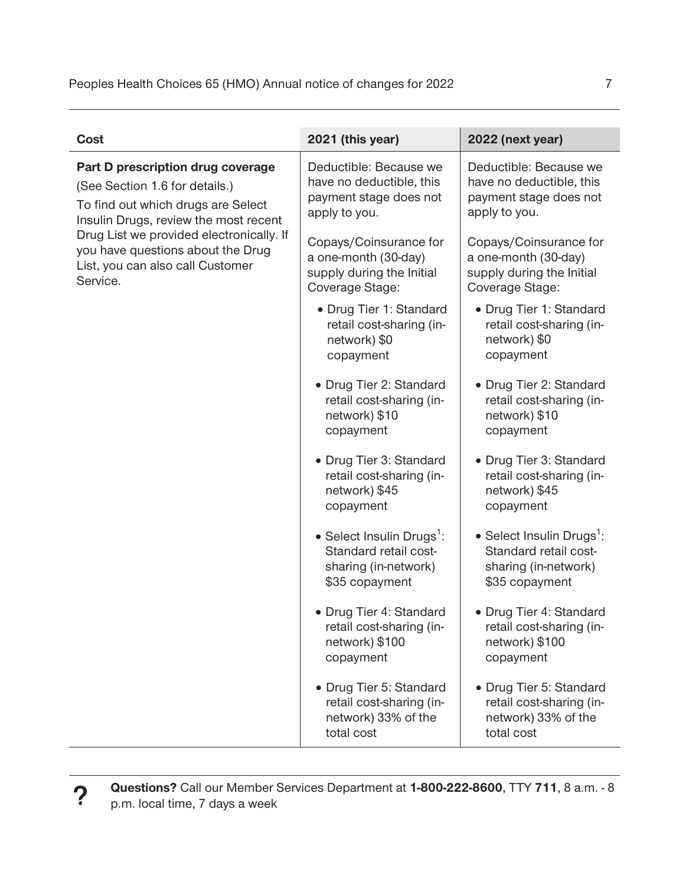| <b>Cost</b>                                                                                                                                                                                                                                                                         | 2021 (this year)                                                                                              | 2022 (next year)                                                                                              |
|-------------------------------------------------------------------------------------------------------------------------------------------------------------------------------------------------------------------------------------------------------------------------------------|---------------------------------------------------------------------------------------------------------------|---------------------------------------------------------------------------------------------------------------|
| Part D prescription drug coverage<br>(See Section 1.6 for details.)<br>To find out which drugs are Select<br>Insulin Drugs, review the most recent<br>Drug List we provided electronically. If<br>you have questions about the Drug<br>List, you can also call Customer<br>Service. | Deductible: Because we<br>have no deductible, this<br>payment stage does not<br>apply to you.                 | Deductible: Because we<br>have no deductible, this<br>payment stage does not<br>apply to you.                 |
|                                                                                                                                                                                                                                                                                     | Copays/Coinsurance for<br>a one-month (30-day)<br>supply during the Initial<br>Coverage Stage:                | Copays/Coinsurance for<br>a one-month (30-day)<br>supply during the Initial<br>Coverage Stage:                |
|                                                                                                                                                                                                                                                                                     | □ Drug Tier 1: Standard<br>retail cost-sharing (in-<br>network) \$0<br>copayment                              | □ Drug Tier 1: Standard<br>retail cost-sharing (in-<br>network) \$0<br>copayment                              |
|                                                                                                                                                                                                                                                                                     | □ Drug Tier 2: Standard<br>retail cost-sharing (in-<br>network) \$10<br>copayment                             | □ Drug Tier 2: Standard<br>retail cost-sharing (in-<br>network) \$10<br>copayment                             |
|                                                                                                                                                                                                                                                                                     | Drug Tier 3: Standard<br>retail cost-sharing (in-<br>network) \$45<br>copayment                               | Drug Tier 3: Standard<br>retail cost-sharing (in-<br>network) \$45<br>copayment                               |
|                                                                                                                                                                                                                                                                                     | $\Box$ Select Insulin Drugs <sup>1</sup> :<br>Standard retail cost-<br>sharing (in-network)<br>\$35 copayment | $\Box$ Select Insulin Drugs <sup>1</sup> :<br>Standard retail cost-<br>sharing (in-network)<br>\$35 copayment |
|                                                                                                                                                                                                                                                                                     | □ Drug Tier 4: Standard<br>retail cost-sharing (in-<br>network) \$100<br>copayment                            | Drug Tier 4: Standard<br>retail cost-sharing (in-<br>network) \$100<br>copayment                              |
|                                                                                                                                                                                                                                                                                     | Drug Tier 5: Standard<br>retail cost-sharing (in-<br>network) 33% of the<br>total cost                        | Drug Tier 5: Standard<br>retail cost-sharing (in-<br>network) 33% of the<br>total cost                        |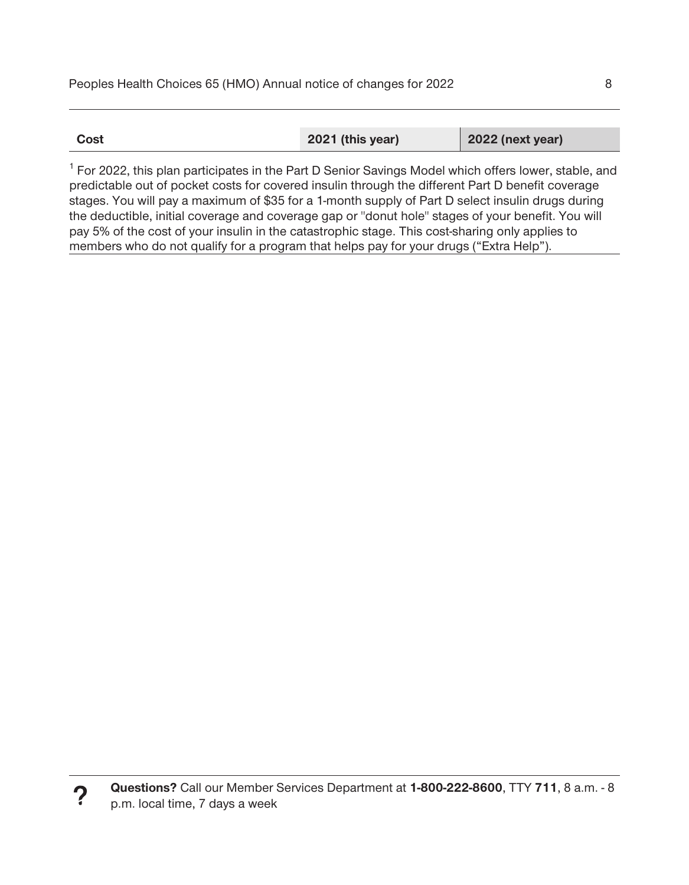| 2021 (this year)<br><b>2022 (next year)</b><br>Cost |
|-----------------------------------------------------|
|-----------------------------------------------------|

<sup>1</sup> For 2022, this plan participates in the Part D Senior Savings Model which offers lower, stable, and **predictable out of pocket costs for covered insulin through the different Part D benefit coverage stages. You will pay a maximum of \$35 for a 1-month supply of Part D select insulin drugs during the deductible, initial coverage and coverage gap or "donut hole" stages of your benefit. You will pay 5% of the cost of your insulin in the catastrophic stage. This cost-sharing only applies to members who do not qualify for a program that helps pay for your drugs ("Extra Help").**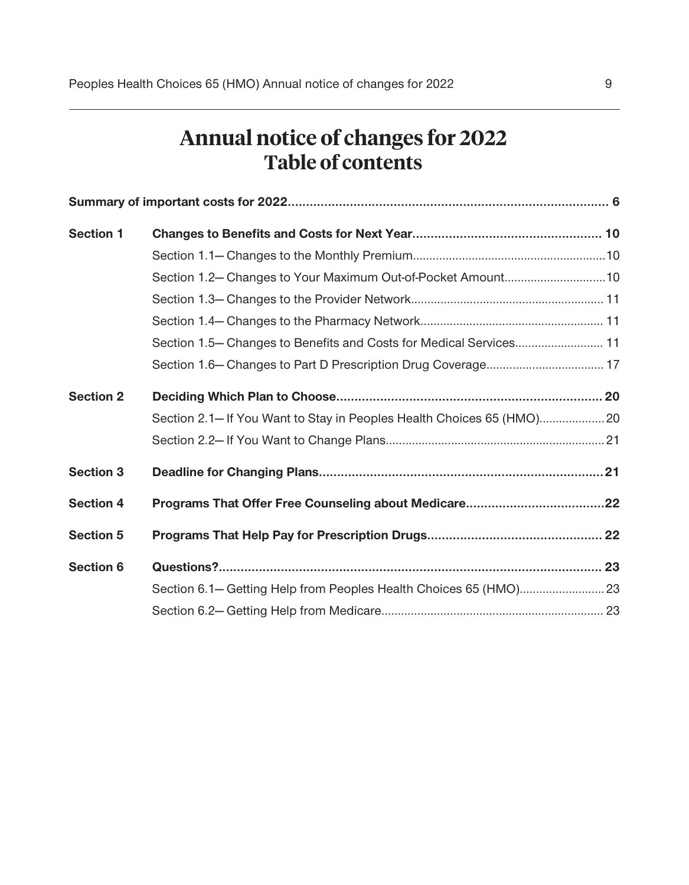# **Annual notice of changes for 2022 Table of contents**

| <b>Section 1</b> |                                                                      |  |
|------------------|----------------------------------------------------------------------|--|
|                  |                                                                      |  |
|                  | Section 1.2-Changes to Your Maximum Out-of-Pocket Amount10           |  |
|                  |                                                                      |  |
|                  |                                                                      |  |
|                  | Section 1.5– Changes to Benefits and Costs for Medical Services 11   |  |
|                  |                                                                      |  |
| <b>Section 2</b> |                                                                      |  |
|                  | Section 2.1-If You Want to Stay in Peoples Health Choices 65 (HMO)20 |  |
|                  |                                                                      |  |
| <b>Section 3</b> |                                                                      |  |
| <b>Section 4</b> |                                                                      |  |
| <b>Section 5</b> |                                                                      |  |
| <b>Section 6</b> |                                                                      |  |
|                  |                                                                      |  |
|                  |                                                                      |  |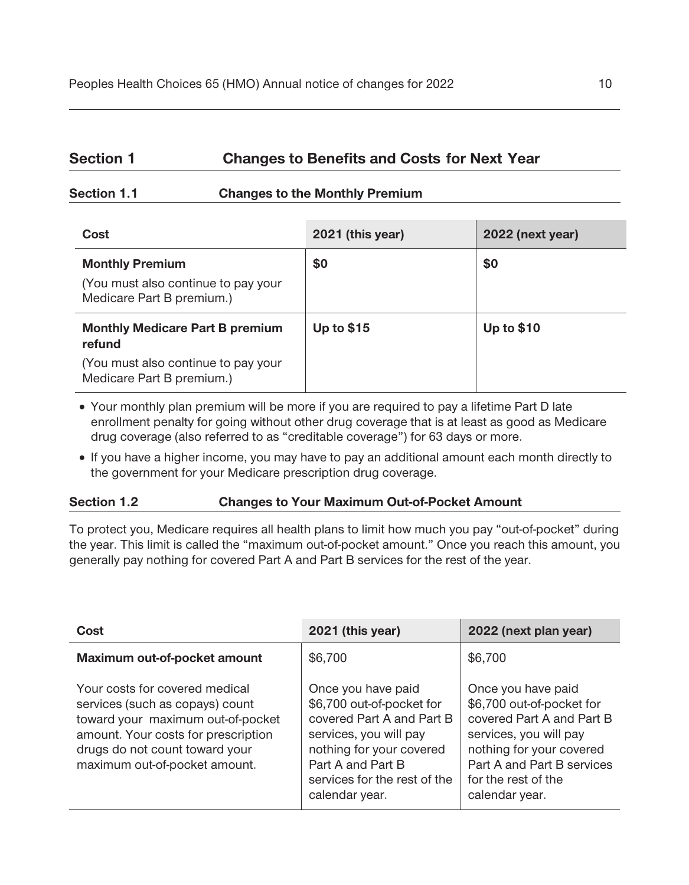# Section 1 **Changes to Benefits and Costs for Next Year**

#### **Section 1.1 Changes to the Monthly Premium**

| Cost                                                                                       | 2021 (this year)  | 2022 (next year)  |
|--------------------------------------------------------------------------------------------|-------------------|-------------------|
| <b>Monthly Premium</b><br>(You must also continue to pay your<br>Medicare Part B premium.) | \$0               | \$0               |
| <b>Monthly Medicare Part B premium</b><br>refund                                           | <b>Up to \$15</b> | <b>Up to \$10</b> |
| (You must also continue to pay your<br>Medicare Part B premium.)                           |                   |                   |

□ Your monthly plan premium will be more if you are required to pay a lifetime Part D late **enrollment penalty for going without other drug coverage that is at least as good as Medicare drug coverage (also referred to as "creditable coverage") for 63 days or more.** 

□ If you have a higher income, you may have to pay an additional amount each month directly to **the government for your Medicare prescription drug coverage.** 

#### **Section 1.2 Changes to Your Maximum Out-of-Pocket Amount**

**To protect you, Medicare requires all health plans to limit how much you pay "out-of-pocket" during the year. This limit is called the "maximum out-of-pocket amount." Once you reach this amount, you generally pay nothing for covered Part A and Part B services for the rest of the year.** 

| Cost                                                                                                                                                                                                             | 2021 (this year)                                                                                                                                                                                          | 2022 (next plan year)                                                                                                                                                                                     |
|------------------------------------------------------------------------------------------------------------------------------------------------------------------------------------------------------------------|-----------------------------------------------------------------------------------------------------------------------------------------------------------------------------------------------------------|-----------------------------------------------------------------------------------------------------------------------------------------------------------------------------------------------------------|
| Maximum out-of-pocket amount                                                                                                                                                                                     | \$6,700                                                                                                                                                                                                   | \$6,700                                                                                                                                                                                                   |
| Your costs for covered medical<br>services (such as copays) count<br>toward your maximum out-of-pocket<br>amount. Your costs for prescription<br>drugs do not count toward your<br>maximum out-of-pocket amount. | Once you have paid<br>\$6,700 out-of-pocket for<br>covered Part A and Part B<br>services, you will pay<br>nothing for your covered<br>Part A and Part B<br>services for the rest of the<br>calendar year. | Once you have paid<br>\$6,700 out-of-pocket for<br>covered Part A and Part B<br>services, you will pay<br>nothing for your covered<br>Part A and Part B services<br>for the rest of the<br>calendar year. |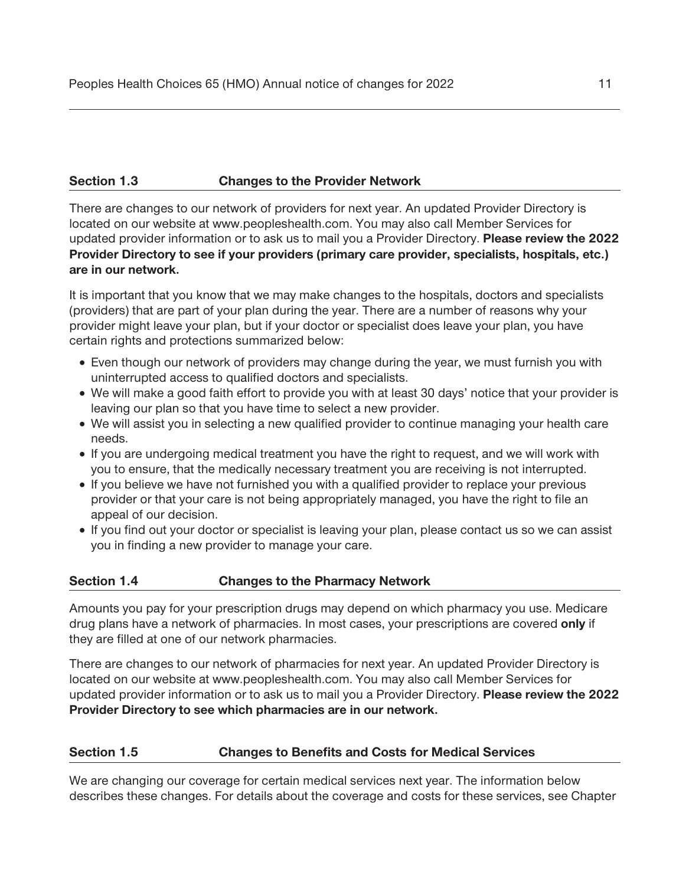#### **Section 1.3 Changes to the Provider Network**

**There are changes to our network of providers for next year. An updated Provider Directory is located on our website at www.peopleshealth.com. You may also call Member Services for updated provider information or to ask us to mail you a Provider Directory. Please review the 2022 Provider Directory to see if your providers (primary care provider, specialists, hospitals, etc.) are in our network.** 

**It is important that you know that we may make changes to the hospitals, doctors and specialists (providers) that are part of your plan during the year. There are a number of reasons why your provider might leave your plan, but if your doctor or specialist does leave your plan, you have certain rights and protections summarized below:** 

- **· Even though our network of providers may change during the year, we must furnish you with uninterrupted access to qualified doctors and specialists.**
- □ We will make a good faith effort to provide you with at least 30 days' notice that your provider is **leaving our plan so that you have time to select a new provider.**
- **· We will assist you in selecting a new qualified provider to continue managing your health care needs.**
- □ If you are undergoing medical treatment you have the right to request, and we will work with **you to ensure, that the medically necessary treatment you are receiving is not interrupted.**
- □ If you believe we have not furnished you with a qualified provider to replace your previous **provider or that your care is not being appropriately managed, you have the right to file an appeal of our decision.**
- □ If you find out your doctor or specialist is leaving your plan, please contact us so we can assist **you in finding a new provider to manage your care.**

#### **Section 1.4 Changes to the Pharmacy Network**

**Amounts you pay for your prescription drugs may depend on which pharmacy you use. Medicare drug plans have a network of pharmacies. In most cases, your prescriptions are covered only if they are filled at one of our network pharmacies.** 

**There are changes to our network of pharmacies for next year. An updated Provider Directory is located on our website at www.peopleshealth.com. You may also call Member Services for updated provider information or to ask us to mail you a Provider Directory. Please review the 2022 Provider Directory to see which pharmacies are in our network.** 

#### **Section 1.5 Changes to Benefits and Costs for Medical Services**

**We are changing our coverage for certain medical services next year. The information below describes these changes. For details about the coverage and costs for these services, see Chapter**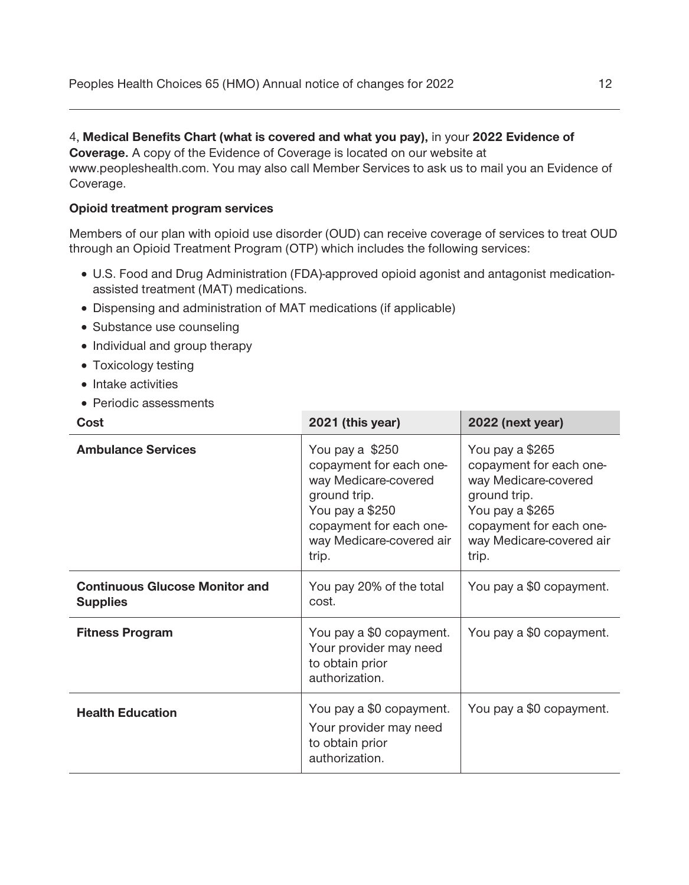#### **4, Medical Benefits Chart (what is covered and what you pay), in your 2022 Evidence of**

**Coverage. A copy of the Evidence of Coverage is located on our website at [www.peopleshealth.com.](http:www.peopleshealth.com) You may also call Member Services to ask us to mail you an Evidence of Coverage.** 

#### **Opioid treatment program services**

**Members of our plan with opioid use disorder (OUD) can receive coverage of services to treat OUD through an Opioid Treatment Program (OTP) which includes the following services:** 

- □ U.S. Food and Drug Administration (FDA)-approved opioid agonist and antagonist medication**assisted treatment (MAT) medications.**
- **· Dispensing and administration of MAT medications (if applicable)**
- **· Substance use counseling**
- **· Individual and group therapy**
- **· Toxicology testing**
- **· Intake activities**
- **· Periodic assessments**

| Cost                                                     | 2021 (this year)                                                                                                                                                      | 2022 (next year)                                                                                                                                                      |
|----------------------------------------------------------|-----------------------------------------------------------------------------------------------------------------------------------------------------------------------|-----------------------------------------------------------------------------------------------------------------------------------------------------------------------|
| <b>Ambulance Services</b>                                | You pay a \$250<br>copayment for each one-<br>way Medicare-covered<br>ground trip.<br>You pay a \$250<br>copayment for each one-<br>way Medicare-covered air<br>trip. | You pay a \$265<br>copayment for each one-<br>way Medicare-covered<br>ground trip.<br>You pay a \$265<br>copayment for each one-<br>way Medicare-covered air<br>trip. |
| <b>Continuous Glucose Monitor and</b><br><b>Supplies</b> | You pay 20% of the total<br>cost.                                                                                                                                     | You pay a \$0 copayment.                                                                                                                                              |
| <b>Fitness Program</b>                                   | You pay a \$0 copayment.<br>Your provider may need<br>to obtain prior<br>authorization.                                                                               | You pay a \$0 copayment.                                                                                                                                              |
| <b>Health Education</b>                                  | You pay a \$0 copayment.<br>Your provider may need<br>to obtain prior<br>authorization.                                                                               | You pay a \$0 copayment.                                                                                                                                              |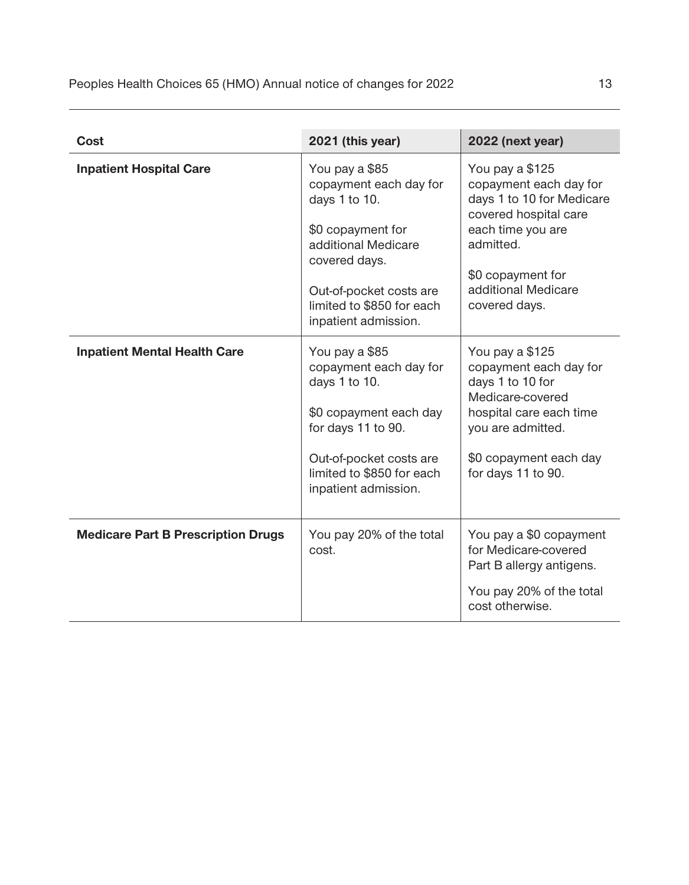| Cost                                      | 2021 (this year)                                                                                                                                                                                       | 2022 (next year)                                                                                                                                                                               |
|-------------------------------------------|--------------------------------------------------------------------------------------------------------------------------------------------------------------------------------------------------------|------------------------------------------------------------------------------------------------------------------------------------------------------------------------------------------------|
| <b>Inpatient Hospital Care</b>            | You pay a \$85<br>copayment each day for<br>days 1 to 10.<br>\$0 copayment for<br>additional Medicare<br>covered days.<br>Out-of-pocket costs are<br>limited to \$850 for each<br>inpatient admission. | You pay a \$125<br>copayment each day for<br>days 1 to 10 for Medicare<br>covered hospital care<br>each time you are<br>admitted.<br>\$0 copayment for<br>additional Medicare<br>covered days. |
| <b>Inpatient Mental Health Care</b>       | You pay a \$85<br>copayment each day for<br>days 1 to 10.<br>\$0 copayment each day<br>for days 11 to 90.<br>Out-of-pocket costs are<br>limited to \$850 for each<br>inpatient admission.              | You pay a \$125<br>copayment each day for<br>days 1 to 10 for<br>Medicare-covered<br>hospital care each time<br>you are admitted.<br>\$0 copayment each day<br>for days 11 to 90.              |
| <b>Medicare Part B Prescription Drugs</b> | You pay 20% of the total<br>cost.                                                                                                                                                                      | You pay a \$0 copayment<br>for Medicare-covered<br>Part B allergy antigens.<br>You pay 20% of the total<br>cost otherwise.                                                                     |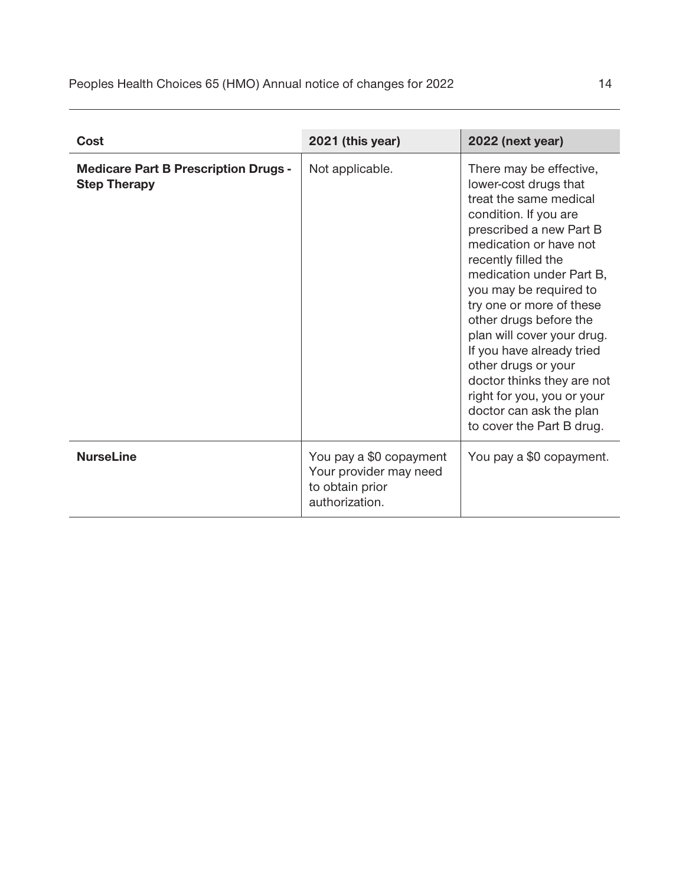| Cost                                                               | 2021 (this year)                                                                       | 2022 (next year)                                                                                                                                                                                                                                                                                                                                                                                                                                                                                  |
|--------------------------------------------------------------------|----------------------------------------------------------------------------------------|---------------------------------------------------------------------------------------------------------------------------------------------------------------------------------------------------------------------------------------------------------------------------------------------------------------------------------------------------------------------------------------------------------------------------------------------------------------------------------------------------|
| <b>Medicare Part B Prescription Drugs -</b><br><b>Step Therapy</b> | Not applicable.                                                                        | There may be effective,<br>lower-cost drugs that<br>treat the same medical<br>condition. If you are<br>prescribed a new Part B<br>medication or have not<br>recently filled the<br>medication under Part B,<br>you may be required to<br>try one or more of these<br>other drugs before the<br>plan will cover your drug.<br>If you have already tried<br>other drugs or your<br>doctor thinks they are not<br>right for you, you or your<br>doctor can ask the plan<br>to cover the Part B drug. |
| <b>NurseLine</b>                                                   | You pay a \$0 copayment<br>Your provider may need<br>to obtain prior<br>authorization. | You pay a \$0 copayment.                                                                                                                                                                                                                                                                                                                                                                                                                                                                          |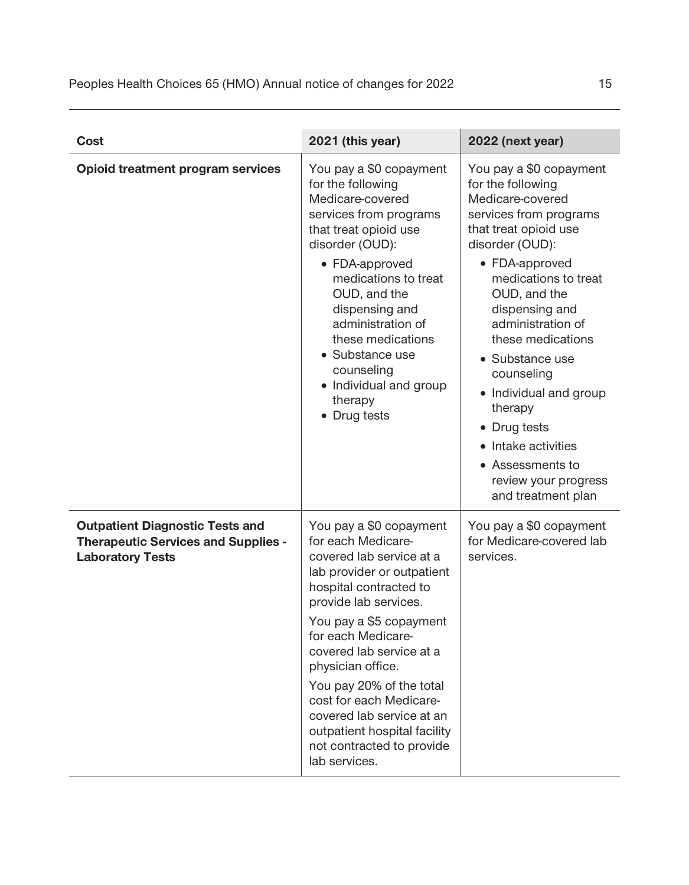| <b>Cost</b>                                                                                                     | 2021 (this year)                                                                                                                                                                                                                                                                                                                                                                                                               | 2022 (next year)                                                                                                                                                                                                                                                                                                                                                                                                                                         |
|-----------------------------------------------------------------------------------------------------------------|--------------------------------------------------------------------------------------------------------------------------------------------------------------------------------------------------------------------------------------------------------------------------------------------------------------------------------------------------------------------------------------------------------------------------------|----------------------------------------------------------------------------------------------------------------------------------------------------------------------------------------------------------------------------------------------------------------------------------------------------------------------------------------------------------------------------------------------------------------------------------------------------------|
| <b>Opioid treatment program services</b>                                                                        | You pay a \$0 copayment<br>for the following<br>Medicare-covered<br>services from programs<br>that treat opioid use<br>disorder (OUD):<br>$\Box$ FDA-approved<br>medications to treat<br>OUD, and the<br>dispensing and<br>administration of<br>these medications<br>□ Substance use<br>counseling<br>$\Box$ Individual and group<br>therapy<br>$\Box$ Drug tests                                                              | You pay a \$0 copayment<br>for the following<br>Medicare-covered<br>services from programs<br>that treat opioid use<br>disorder (OUD):<br>□ FDA-approved<br>medications to treat<br>OUD, and the<br>dispensing and<br>administration of<br>these medications<br>□ Substance use<br>counseling<br>$\Box$ Individual and group<br>therapy<br>Drug tests<br>$\Box$ Intake activities<br>$\Box$ Assessments to<br>review your progress<br>and treatment plan |
| <b>Outpatient Diagnostic Tests and</b><br><b>Therapeutic Services and Supplies -</b><br><b>Laboratory Tests</b> | You pay a \$0 copayment<br>for each Medicare-<br>covered lab service at a<br>lab provider or outpatient<br>hospital contracted to<br>provide lab services.<br>You pay a \$5 copayment<br>for each Medicare-<br>covered lab service at a<br>physician office.<br>You pay 20% of the total<br>cost for each Medicare-<br>covered lab service at an<br>outpatient hospital facility<br>not contracted to provide<br>lab services. | You pay a \$0 copayment<br>for Medicare-covered lab<br>services.                                                                                                                                                                                                                                                                                                                                                                                         |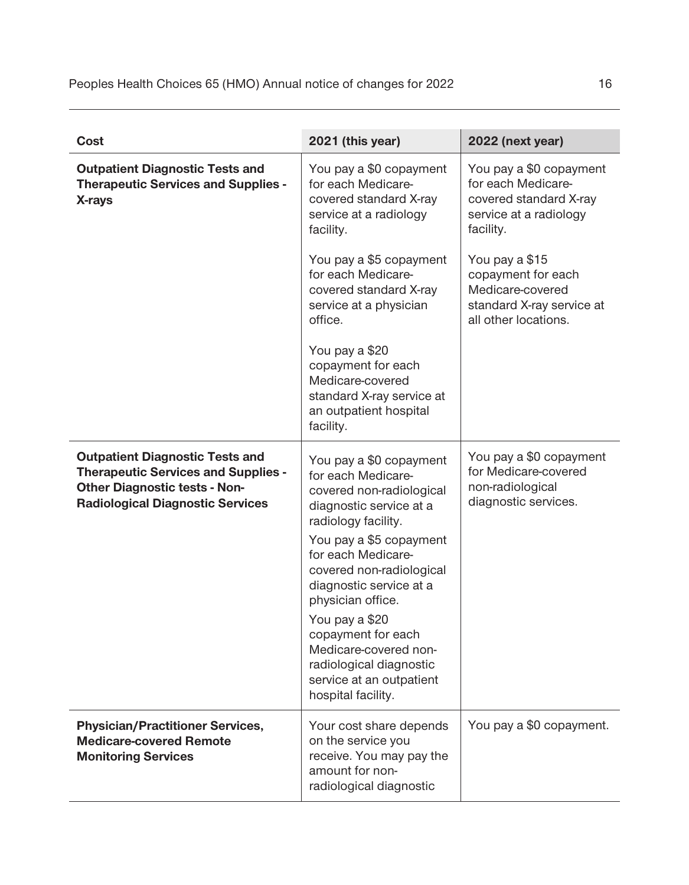| Cost                                                                                                                                                                    | 2021 (this year)                                                                                                                                                                                                                                                                                                                                                                                       | 2022 (next year)                                                                                                                                                                                                                |
|-------------------------------------------------------------------------------------------------------------------------------------------------------------------------|--------------------------------------------------------------------------------------------------------------------------------------------------------------------------------------------------------------------------------------------------------------------------------------------------------------------------------------------------------------------------------------------------------|---------------------------------------------------------------------------------------------------------------------------------------------------------------------------------------------------------------------------------|
| <b>Outpatient Diagnostic Tests and</b><br><b>Therapeutic Services and Supplies -</b><br>X-rays                                                                          | You pay a \$0 copayment<br>for each Medicare-<br>covered standard X-ray<br>service at a radiology<br>facility.<br>You pay a \$5 copayment<br>for each Medicare-<br>covered standard X-ray<br>service at a physician<br>office.<br>You pay a \$20<br>copayment for each<br>Medicare-covered<br>standard X-ray service at<br>an outpatient hospital<br>facility.                                         | You pay a \$0 copayment<br>for each Medicare-<br>covered standard X-ray<br>service at a radiology<br>facility.<br>You pay a \$15<br>copayment for each<br>Medicare-covered<br>standard X-ray service at<br>all other locations. |
| <b>Outpatient Diagnostic Tests and</b><br><b>Therapeutic Services and Supplies -</b><br><b>Other Diagnostic tests - Non-</b><br><b>Radiological Diagnostic Services</b> | You pay a \$0 copayment<br>for each Medicare-<br>covered non-radiological<br>diagnostic service at a<br>radiology facility.<br>You pay a \$5 copayment<br>for each Medicare-<br>covered non-radiological<br>diagnostic service at a<br>physician office.<br>You pay a \$20<br>copayment for each<br>Medicare-covered non-<br>radiological diagnostic<br>service at an outpatient<br>hospital facility. | You pay a \$0 copayment<br>for Medicare-covered<br>non-radiological<br>diagnostic services.                                                                                                                                     |
| <b>Physician/Practitioner Services,</b><br><b>Medicare-covered Remote</b><br><b>Monitoring Services</b>                                                                 | Your cost share depends<br>on the service you<br>receive. You may pay the<br>amount for non-<br>radiological diagnostic                                                                                                                                                                                                                                                                                | You pay a \$0 copayment.                                                                                                                                                                                                        |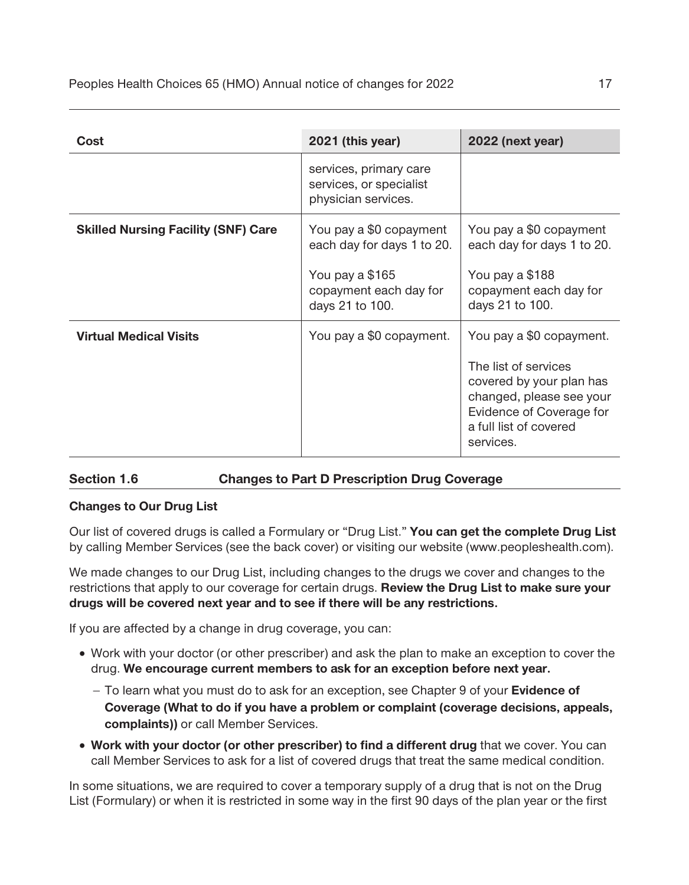| Cost                                       | 2021 (this year)                                                                                                      | 2022 (next year)                                                                                                                                                            |
|--------------------------------------------|-----------------------------------------------------------------------------------------------------------------------|-----------------------------------------------------------------------------------------------------------------------------------------------------------------------------|
|                                            | services, primary care<br>services, or specialist<br>physician services.                                              |                                                                                                                                                                             |
| <b>Skilled Nursing Facility (SNF) Care</b> | You pay a \$0 copayment<br>each day for days 1 to 20.<br>You pay a \$165<br>copayment each day for<br>days 21 to 100. | You pay a \$0 copayment<br>each day for days 1 to 20.<br>You pay a \$188<br>copayment each day for<br>days 21 to 100.                                                       |
| <b>Virtual Medical Visits</b>              | You pay a \$0 copayment.                                                                                              | You pay a \$0 copayment.<br>The list of services<br>covered by your plan has<br>changed, please see your<br>Evidence of Coverage for<br>a full list of covered<br>services. |

#### **Section 1.6 Changes to Part D Prescription Drug Coverage**

#### **Changes to Our Drug List**

**Our list of covered drugs is called a Formulary or "Drug List." You can get the complete Drug List by calling Member Services (see the back cover) or visiting our website (www.peopleshealth.com).** 

**We made changes to our Drug List, including changes to the drugs we cover and changes to the restrictions that apply to our coverage for certain drugs. Review the Drug List to make sure your drugs will be covered next year and to see if there will be any restrictions.** 

**If you are affected by a change in drug coverage, you can:** 

- **· Work with your doctor (or other prescriber) and ask the plan to make an exception to cover the drug. We encourage current members to ask for an exception before next year.** 
	- □ **To learn what you must do to ask for an exception, see Chapter 9 of your <b>Evidence of Coverage (What to do if you have a problem or complaint (coverage decisions, appeals, complaints)) or call Member Services.**
- □ **Work with your doctor (or other prescriber) to find a different drug** that we cover. You can **call Member Services to ask for a list of covered drugs that treat the same medical condition.**

**In some situations, we are required to cover a temporary supply of a drug that is not on the Drug List (Formulary) or when it is restricted in some way in the first 90 days of the plan year or the first**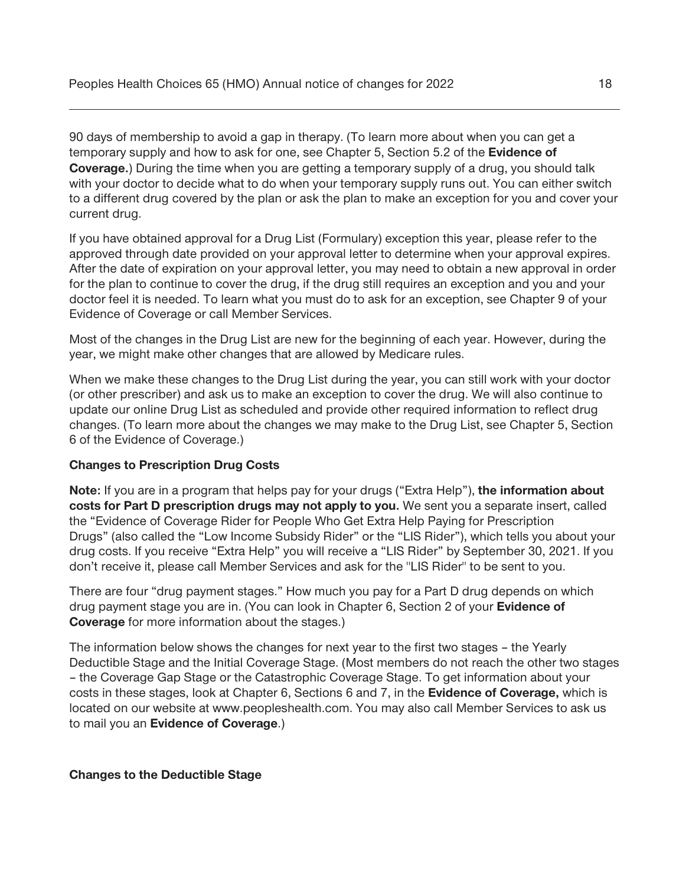**90 days of membership to avoid a gap in therapy. (To learn more about when you can get a temporary supply and how to ask for one, see Chapter 5, Section 5.2 of the Evidence of Coverage.) During the time when you are getting a temporary supply of a drug, you should talk with your doctor to decide what to do when your temporary supply runs out. You can either switch to a different drug covered by the plan or ask the plan to make an exception for you and cover your current drug.** 

**If you have obtained approval for a Drug List (Formulary) exception this year, please refer to the approved through date provided on your approval letter to determine when your approval expires. After the date of expiration on your approval letter, you may need to obtain a new approval in order for the plan to continue to cover the drug, if the drug still requires an exception and you and your doctor feel it is needed. To learn what you must do to ask for an exception, see Chapter 9 of your Evidence of Coverage or call Member Services.** 

**Most of the changes in the Drug List are new for the beginning of each year. However, during the year, we might make other changes that are allowed by Medicare rules.** 

**When we make these changes to the Drug List during the year, you can still work with your doctor (or other prescriber) and ask us to make an exception to cover the drug. We will also continue to update our online Drug List as scheduled and provide other required information to reflect drug changes. (To learn more about the changes we may make to the Drug List, see Chapter 5, Section 6 of the Evidence of Coverage.)** 

#### **Changes to Prescription Drug Costs**

**Note: If you are in a program that helps pay for your drugs ("Extra Help"), the information about costs for Part D prescription drugs may not apply to you. We sent you a separate insert, called the "Evidence of Coverage Rider for People Who Get Extra Help Paying for Prescription Drugs" (also called the "Low Income Subsidy Rider" or the "LIS Rider"), which tells you about your drug costs. If you receive "Extra Help" you will receive a "LIS Rider" by September 30, 2021. If you don't receive it, please call Member Services and ask for the "LIS Rider" to be sent to you.** 

**There are four "drug payment stages." How much you pay for a Part D drug depends on which drug payment stage you are in. (You can look in Chapter 6, Section 2 of your Evidence of Coverage for more information about the stages.)** 

**The information below shows the changes for next year to the first two stages – the Yearly Deductible Stage and the Initial Coverage Stage. (Most members do not reach the other two stages – the Coverage Gap Stage or the Catastrophic Coverage Stage. To get information about your costs in these stages, look at Chapter 6, Sections 6 and 7, in the Evidence of Coverage, which is located on our website at [www.peopleshealth.com.](http:www.peopleshealth.com) You may also call Member Services to ask us to mail you an Evidence of Coverage.)** 

#### **Changes to the Deductible Stage**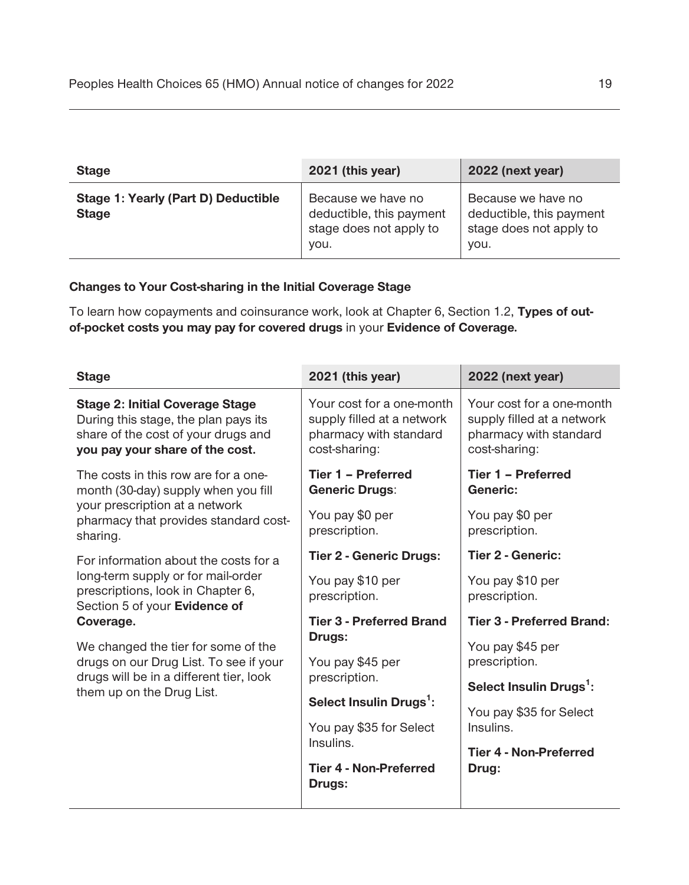| <b>Stage</b>                                        | 2021 (this year)                                                                  | 2022 (next year)                                                                  |
|-----------------------------------------------------|-----------------------------------------------------------------------------------|-----------------------------------------------------------------------------------|
| Stage 1: Yearly (Part D) Deductible<br><b>Stage</b> | Because we have no<br>deductible, this payment<br>stage does not apply to<br>you. | Because we have no<br>deductible, this payment<br>stage does not apply to<br>you. |

#### **Changes to Your Cost-sharing in the Initial Coverage Stage**

**To learn how copayments and coinsurance work, look at Chapter 6, Section 1.2, Types of outof-pocket costs you may pay for covered drugs in your Evidence of Coverage***.* 

| <b>Stage</b>                                                                                                                                                                                                                                                                                                            | 2021 (this year)                                                                                                                                                                                                                                                                              | 2022 (next year)                                                                                                                                                                                                                                                |
|-------------------------------------------------------------------------------------------------------------------------------------------------------------------------------------------------------------------------------------------------------------------------------------------------------------------------|-----------------------------------------------------------------------------------------------------------------------------------------------------------------------------------------------------------------------------------------------------------------------------------------------|-----------------------------------------------------------------------------------------------------------------------------------------------------------------------------------------------------------------------------------------------------------------|
| <b>Stage 2: Initial Coverage Stage</b><br>During this stage, the plan pays its<br>share of the cost of your drugs and<br>you pay your share of the cost.                                                                                                                                                                | Your cost for a one-month<br>supply filled at a network<br>pharmacy with standard<br>cost-sharing:                                                                                                                                                                                            | Your cost for a one-month<br>supply filled at a network<br>pharmacy with standard<br>cost-sharing:                                                                                                                                                              |
| The costs in this row are for a one-<br>month (30-day) supply when you fill<br>your prescription at a network<br>pharmacy that provides standard cost-<br>sharing.                                                                                                                                                      | Tier 1 - Preferred<br><b>Generic Drugs:</b><br>You pay \$0 per<br>prescription.                                                                                                                                                                                                               | Tier 1 - Preferred<br>Generic:<br>You pay \$0 per<br>prescription.                                                                                                                                                                                              |
| For information about the costs for a<br>long-term supply or for mail-order<br>prescriptions, look in Chapter 6,<br>Section 5 of your Evidence of<br>Coverage.<br>We changed the tier for some of the<br>drugs on our Drug List. To see if your<br>drugs will be in a different tier, look<br>them up on the Drug List. | <b>Tier 2 - Generic Drugs:</b><br>You pay \$10 per<br>prescription.<br><b>Tier 3 - Preferred Brand</b><br><b>Drugs:</b><br>You pay \$45 per<br>prescription.<br>Select Insulin Drugs <sup>1</sup> :<br>You pay \$35 for Select<br>Insulins.<br><b>Tier 4 - Non-Preferred</b><br><b>Drugs:</b> | <b>Tier 2 - Generic:</b><br>You pay \$10 per<br>prescription.<br><b>Tier 3 - Preferred Brand:</b><br>You pay \$45 per<br>prescription.<br>Select Insulin Drugs <sup>1</sup> :<br>You pay \$35 for Select<br>Insulins.<br><b>Tier 4 - Non-Preferred</b><br>Drug: |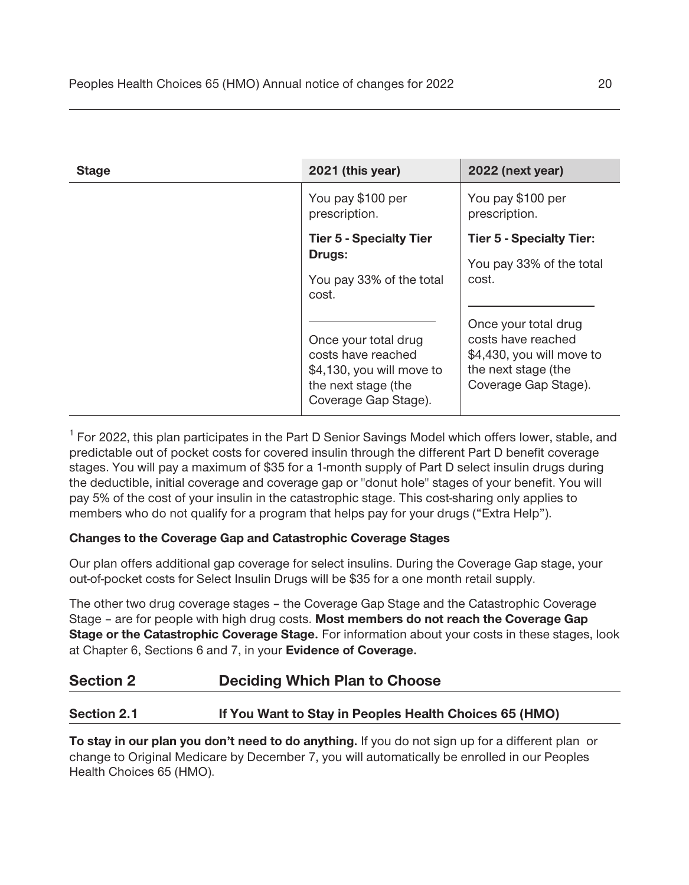| <b>Stage</b> | 2021 (this year)                                                                                                       | 2022 (next year)                                                                                                       |
|--------------|------------------------------------------------------------------------------------------------------------------------|------------------------------------------------------------------------------------------------------------------------|
|              | You pay \$100 per<br>prescription.                                                                                     | You pay \$100 per<br>prescription.                                                                                     |
|              | <b>Tier 5 - Specialty Tier</b><br><b>Drugs:</b><br>You pay 33% of the total<br>cost.                                   | <b>Tier 5 - Specialty Tier:</b><br>You pay 33% of the total<br>cost.                                                   |
|              | Once your total drug<br>costs have reached<br>\$4,130, you will move to<br>the next stage (the<br>Coverage Gap Stage). | Once your total drug<br>costs have reached<br>\$4,430, you will move to<br>the next stage (the<br>Coverage Gap Stage). |

<sup>1</sup> For 2022, this plan participates in the Part D Senior Savings Model which offers lower, stable, and **predictable out of pocket costs for covered insulin through the different Part D benefit coverage stages. You will pay a maximum of \$35 for a 1-month supply of Part D select insulin drugs during the deductible, initial coverage and coverage gap or "donut hole" stages of your benefit. You will pay 5% of the cost of your insulin in the catastrophic stage. This cost-sharing only applies to**  members who do not qualify for a program that helps pay for your drugs ("Extra Help").

#### **Changes to the Coverage Gap and Catastrophic Coverage Stages**

**Our plan offers additional gap coverage for select insulins. During the Coverage Gap stage, your out-of-pocket costs for Select Insulin Drugs will be \$35 for a one month retail supply.** 

**The other two drug coverage stages – the Coverage Gap Stage and the Catastrophic Coverage Stage – are for people with high drug costs. Most members do not reach the Coverage Gap Stage or the Catastrophic Coverage Stage. For information about your costs in these stages, look at Chapter 6, Sections 6 and 7, in your Evidence of Coverage.** 

### **Section 2 Deciding Which Plan to Choose**

#### **Section 2.1 If You Want to Stay in Peoples Health Choices 65 (HMO)**

**To stay in our plan you don't need to do anything. If you do not sign up for a different plan or change to Original Medicare by December 7, you will automatically be enrolled in our Peoples Health Choices 65 (HMO).**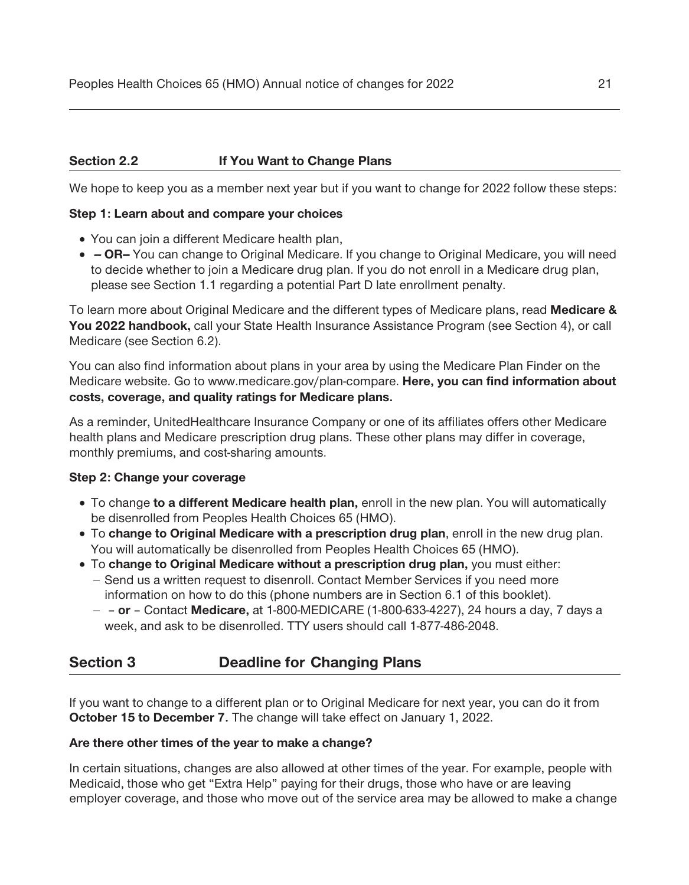#### **Section 2.2 If You Want to Change Plans**

**We hope to keep you as a member next year but if you want to change for 2022 follow these steps:** 

#### **Step 1: Learn about and compare your choices**

- □ You can join a different Medicare health plan,
- □  **OR-** You can change to Original Medicare. If you change to Original Medicare, you will need **to decide whether to join a Medicare drug plan. If you do not enroll in a Medicare drug plan, please see Section 1.1 regarding a potential Part D late enrollment penalty.**

**To learn more about Original Medicare and the different types of Medicare plans, read Medicare & You 2022 handbook, call your State Health Insurance Assistance Program (see Section 4), or call Medicare (see Section 6.2).** 

**You can also find information about plans in your area by using the Medicare Plan Finder on the Medicare website. Go to www.medicare.gov/plan-compare. Here, you can find information about costs, coverage, and quality ratings for Medicare plans.** 

**As a reminder, UnitedHealthcare Insurance Company or one of its affiliates offers other Medicare health plans and Medicare prescription drug plans. These other plans may differ in coverage, monthly premiums, and cost-sharing amounts.** 

#### **Step 2: Change your coverage**

- **· To change to a different Medicare health plan, enroll in the new plan. You will automatically be disenrolled from Peoples Health Choices 65 (HMO).**
- **· To change to Original Medicare with a prescription drug plan, enroll in the new drug plan. You will automatically be disenrolled from Peoples Health Choices 65 (HMO).**
- **· To change to Original Medicare without a prescription drug plan, you must either: - Send us a written request to disenroll. Contact Member Services if you need more information on how to do this (phone numbers are in Section 6.1 of this booklet).** 
	- **- – or** *–* **Contact Medicare, at 1-800-MEDICARE (1-800-633-4227), 24 hours a day, 7 days a week, and ask to be disenrolled. TTY users should call 1-877-486-2048.**

### **Section 3 Deadline for Changing Plans**

 **October 15 to December 7. The change will take effect on January 1, 2022. If you want to change to a different plan or to Original Medicare for next year, you can do it from** 

#### **Are there other times of the year to make a change?**

**In certain situations, changes are also allowed at other times of the year. For example, people with Medicaid, those who get "Extra Help" paying for their drugs, those who have or are leaving employer coverage, and those who move out of the service area may be allowed to make a change**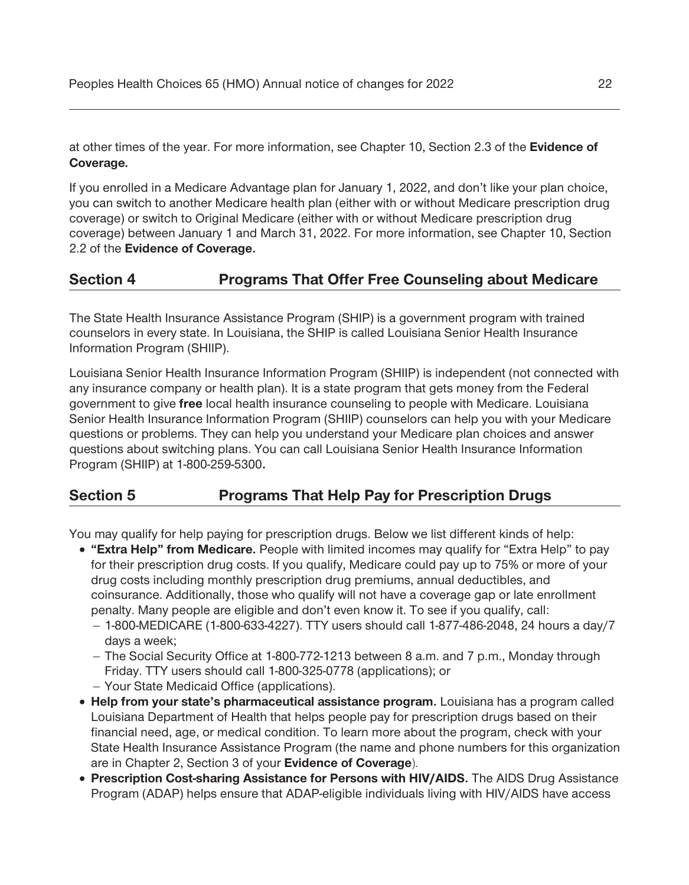**at other times of the year. For more information, see Chapter 10, Section 2.3 of the Evidence of Coverage***.* 

**If you enrolled in a Medicare Advantage plan for January 1, 2022, and don't like your plan choice, you can switch to another Medicare health plan (either with or without Medicare prescription drug coverage) or switch to Original Medicare (either with or without Medicare prescription drug coverage) between January 1 and March 31, 2022. For more information, see Chapter 10, Section 2.2 of the Evidence of Coverage.** 

### **Section 4 Programs That Offer Free Counseling about Medicare**

**The State Health Insurance Assistance Program (SHIP) is a government program with trained counselors in every state. In Louisiana, the SHIP is called Louisiana Senior Health Insurance Information Program (SHIIP).** 

**Louisiana Senior Health Insurance Information Program (SHIIP) is independent (not connected with any insurance company or health plan). It is a state program that gets money from the Federal government to give free local health insurance counseling to people with Medicare. Louisiana Senior Health Insurance Information Program (SHIIP) counselors can help you with your Medicare questions or problems. They can help you understand your Medicare plan choices and answer questions about switching plans. You can call Louisiana Senior Health Insurance Information Program (SHIIP) at 1-800-259-5300.** 

### **Section 5 Programs That Help Pay for Prescription Drugs**

**You may qualify for help paying for prescription drugs. Below we list different kinds of help:** 

- □ **"Extra Help" from Medicare.** People with limited incomes may qualify for "Extra Help" to pay **for their prescription drug costs. If you qualify, Medicare could pay up to 75% or more of your drug costs including monthly prescription drug premiums, annual deductibles, and coinsurance. Additionally, those who qualify will not have a coverage gap or late enrollment penalty. Many people are eligible and don't even know it. To see if you qualify, call:** 
	- **- 1-800-MEDICARE (1-800-633-4227). TTY users should call 1-877-486-2048, 24 hours a day/7 days a week;**
	- **- The Social Security Office at 1-800-772-1213 between 8 a.m. and 7 p.m., Monday through Friday. TTY users should call 1-800-325-0778 (applications); or**
	- **- Your State Medicaid Office (applications).**
- **· Help from your state's pharmaceutical assistance program. Louisiana has a program called Louisiana Department of Health that helps people pay for prescription drugs based on their financial need, age, or medical condition. To learn more about the program, check with your State Health Insurance Assistance Program (the name and phone numbers for this organization are in Chapter 2, Section 3 of your Evidence of Coverage).**
- **· Prescription Cost-sharing Assistance for Persons with HIV/AIDS. The AIDS Drug Assistance Program (ADAP) helps ensure that ADAP-eligible individuals living with HIV/AIDS have access**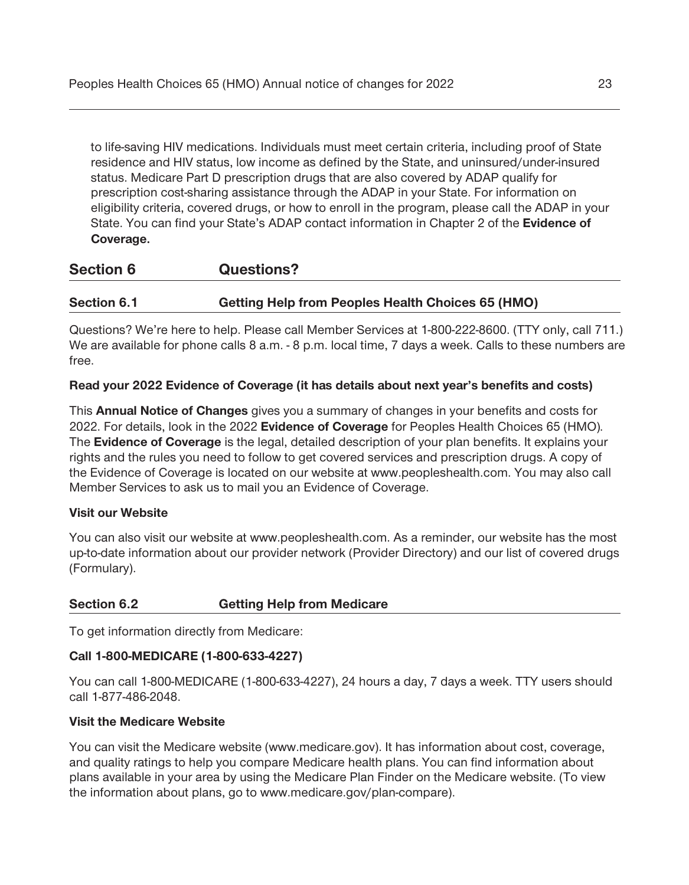**to life-saving HIV medications. Individuals must meet certain criteria, including proof of State residence and HIV status, low income as defined by the State, and uninsured/under-insured status. Medicare Part D prescription drugs that are also covered by ADAP qualify for prescription cost-sharing assistance through the ADAP in your State. For information on eligibility criteria, covered drugs, or how to enroll in the program, please call the ADAP in your State. You can find your State's ADAP contact information in Chapter 2 of the Evidence of Coverage.** 

# **Section 6 Questions?**

#### Section 6.1 **Getting Help from Peoples Health Choices 65 (HMO)**

**Questions? We're here to help. Please call Member Services at 1-800-222-8600. (TTY only, call 711.) We are available for phone calls 8 a.m. - 8 p.m. local time, 7 days a week. Calls to these numbers are free.** 

#### **Read your 2022 Evidence of Coverage (it has details about next year's benefits and costs)**

**This Annual Notice of Changes gives you a summary of changes in your benefits and costs for 2022. For details, look in the 2022 Evidence of Coverage for Peoples Health Choices 65 (HMO)***.*  **The Evidence of Coverage is the legal, detailed description of your plan benefits. It explains your rights and the rules you need to follow to get covered services and prescription drugs. A copy of the Evidence of Coverage is located on our website at www.peopleshealth.com. You may also call Member Services to ask us to mail you an Evidence of Coverage.** 

#### **Visit our Website**

**You can also visit our website at www.peopleshealth.com. As a reminder, our website has the most up-to-date information about our provider network (Provider Directory) and our list of covered drugs (Formulary).** 

#### **Section 6.2 Getting Help from Medicare**

**To get information directly from Medicare:** 

#### **Call 1-800-MEDICARE (1-800-633-4227)**

**You can call 1-800-MEDICARE (1-800-633-4227), 24 hours a day, 7 days a week. TTY users should call 1-877-486-2048.** 

#### **Visit the Medicare Website**

**You can visit the Medicare website ([www.medicare.gov\)](http:www.medicare.gov). It has information about cost, coverage, and quality ratings to help you compare Medicare health plans. You can find information about plans available in your area by using the Medicare Plan Finder on the Medicare website. (To view the information about plans, go to [www.medicare.gov/plan-compare\)](www.medicare.gov/plan-compare).**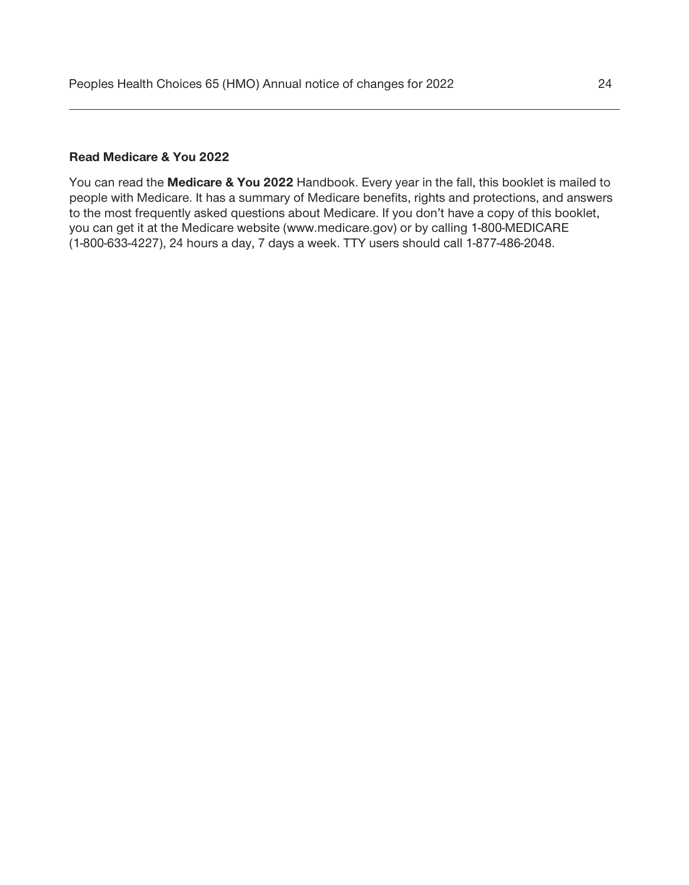#### **Read Medicare & You 2022**

**You can read the Medicare & You 2022 Handbook. Every year in the fall, this booklet is mailed to people with Medicare. It has a summary of Medicare benefits, rights and protections, and answers to the most frequently asked questions about Medicare. If you don't have a copy of this booklet, you can get it at the Medicare website (www.medicare.gov) or by calling 1-800-MEDICARE (1-800-633-4227), 24 hours a day, 7 days a week. TTY users should call 1-877-486-2048.**